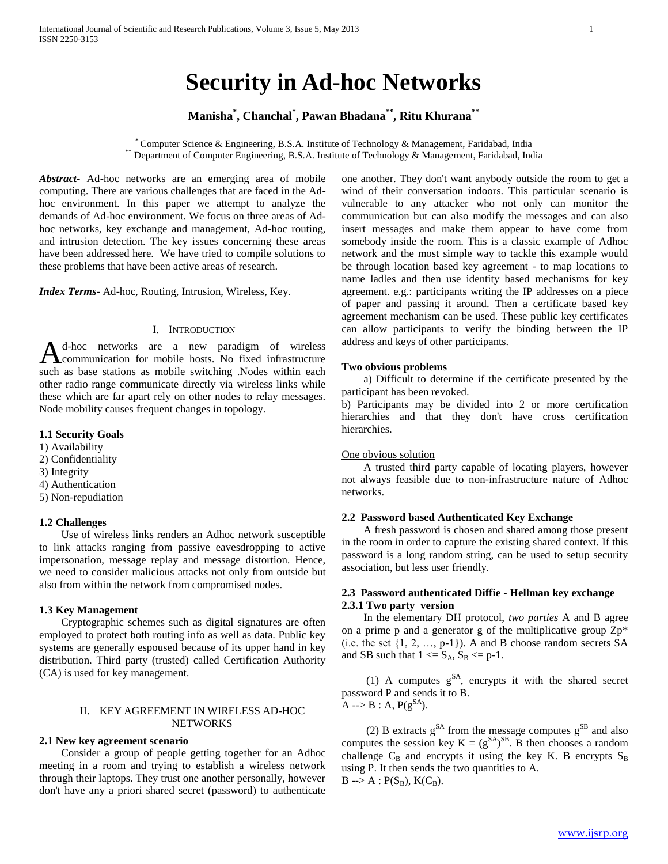# **Security in Ad-hoc Networks**

# **Manisha\* , Chanchal\* , Pawan Bhadana\*\* , Ritu Khurana\*\***

\* Computer Science & Engineering, B.S.A. Institute of Technology & Management, Faridabad, India \*\* Department of Computer Engineering, B.S.A. Institute of Technology & Management, Faridabad, India

*Abstract***-** Ad-hoc networks are an emerging area of mobile computing. There are various challenges that are faced in the Adhoc environment. In this paper we attempt to analyze the demands of Ad-hoc environment. We focus on three areas of Adhoc networks, key exchange and management, Ad-hoc routing, and intrusion detection. The key issues concerning these areas have been addressed here. We have tried to compile solutions to these problems that have been active areas of research.

*Index Terms*- Ad-hoc, Routing, Intrusion, Wireless, Key.

# I. INTRODUCTION

d-hoc networks are a new paradigm of wireless A<sup>d-hoc</sup> networks are a new paradigm of wireless<br> **A** communication for mobile hosts. No fixed infrastructure such as base stations as mobile switching .Nodes within each other radio range communicate directly via wireless links while these which are far apart rely on other nodes to relay messages. Node mobility causes frequent changes in topology.

# **1.1 Security Goals**

- 1) Availability
- 2) Confidentiality
- 3) Integrity
- 4) Authentication
- 5) Non-repudiation

## **1.2 Challenges**

 Use of wireless links renders an Adhoc network susceptible to link attacks ranging from passive eavesdropping to active impersonation, message replay and message distortion. Hence, we need to consider malicious attacks not only from outside but also from within the network from compromised nodes.

## **1.3 Key Management**

 Cryptographic schemes such as digital signatures are often employed to protect both routing info as well as data. Public key systems are generally espoused because of its upper hand in key distribution. Third party (trusted) called Certification Authority (CA) is used for key management.

# II. KEY AGREEMENT IN WIRELESS AD-HOC **NETWORKS**

#### **2.1 New key agreement scenario**

 Consider a group of people getting together for an Adhoc meeting in a room and trying to establish a wireless network through their laptops. They trust one another personally, however don't have any a priori shared secret (password) to authenticate one another. They don't want anybody outside the room to get a wind of their conversation indoors. This particular scenario is vulnerable to any attacker who not only can monitor the communication but can also modify the messages and can also insert messages and make them appear to have come from somebody inside the room. This is a classic example of Adhoc network and the most simple way to tackle this example would be through location based key agreement - to map locations to name ladles and then use identity based mechanisms for key agreement. e.g.: participants writing the IP addresses on a piece of paper and passing it around. Then a certificate based key agreement mechanism can be used. These public key certificates can allow participants to verify the binding between the IP address and keys of other participants.

#### **Two obvious problems**

 a) Difficult to determine if the certificate presented by the participant has been revoked.

b) Participants may be divided into 2 or more certification hierarchies and that they don't have cross certification hierarchies.

## One obvious solution

 A trusted third party capable of locating players, however not always feasible due to non-infrastructure nature of Adhoc networks.

#### **2.2 Password based Authenticated Key Exchange**

 A fresh password is chosen and shared among those present in the room in order to capture the existing shared context. If this password is a long random string, can be used to setup security association, but less user friendly.

# **2.3 Password authenticated Diffie - Hellman key exchange 2.3.1 Two party version**

 In the elementary DH protocol, *two parties* A and B agree on a prime p and a generator g of the multiplicative group  $Zp^*$ (i.e. the set  $\{1, 2, ..., p-1\}$ ). A and B choose random secrets SA and SB such that  $1 \leq S_A$ ,  $S_B \leq p-1$ .

(1) A computes  $g^{SA}$ , encrypts it with the shared secret password P and sends it to B.  $A \rightarrow B : A, P(g^{SA})$ .

(2) B extracts  $g^{SA}$  from the message computes  $g^{SB}$  and also computes the session key  $K = (g^{SA})^{SB}$ . B then chooses a random challenge  $C_B$  and encrypts it using the key K. B encrypts  $S_B$ using P. It then sends the two quantities to A.  $B \rightarrow A : P(S_B), K(C_B).$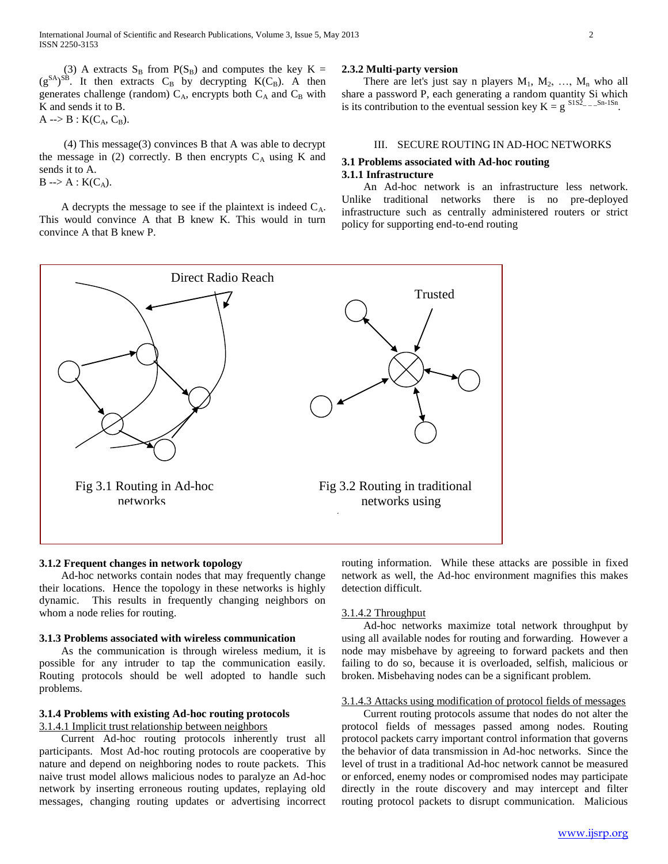(3) A extracts  $S_B$  from  $P(S_B)$  and computes the key K =  $(g^{SA})^{SB}$ . It then extracts C<sub>B</sub> by decrypting K(C<sub>B</sub>). A then generates challenge (random)  $C_A$ , encrypts both  $C_A$  and  $C_B$  with K and sends it to B.  $A \rightarrow B : K(C_A, C_B).$ 

 (4) This message(3) convinces B that A was able to decrypt the message in (2) correctly. B then encrypts  $C_A$  using K and sends it to A.  $B \rightarrow A : K(C_A)$ .

A decrypts the message to see if the plaintext is indeed  $C_A$ . This would convince A that B knew K. This would in turn convince A that B knew P.

#### **2.3.2 Multi-party version**

There are let's just say n players  $M_1$ ,  $M_2$ , ...,  $M_n$  who all share a password P, each generating a random quantity Si which is its contribution to the eventual session key  $K = g^{S1S_2} - S^{n-1Sn}$ .

# III. SECURE ROUTING IN AD-HOC NETWORKS

# **3.1 Problems associated with Ad-hoc routing 3.1.1 Infrastructure**

 An Ad-hoc network is an infrastructure less network. Unlike traditional networks there is no pre-deployed infrastructure such as centrally administered routers or strict policy for supporting end-to-end routing



#### **3.1.2 Frequent changes in network topology**

 Ad-hoc networks contain nodes that may frequently change their locations. Hence the topology in these networks is highly dynamic. This results in frequently changing neighbors on whom a node relies for routing.

#### **3.1.3 Problems associated with wireless communication**

 As the communication is through wireless medium, it is possible for any intruder to tap the communication easily. Routing protocols should be well adopted to handle such problems.

# **3.1.4 Problems with existing Ad-hoc routing protocols**

3.1.4.1 Implicit trust relationship between neighbors

 Current Ad-hoc routing protocols inherently trust all participants. Most Ad-hoc routing protocols are cooperative by nature and depend on neighboring nodes to route packets. This naive trust model allows malicious nodes to paralyze an Ad-hoc network by inserting erroneous routing updates, replaying old messages, changing routing updates or advertising incorrect

routing information. While these attacks are possible in fixed network as well, the Ad-hoc environment magnifies this makes detection difficult.

#### 3.1.4.2 Throughput

 Ad-hoc networks maximize total network throughput by using all available nodes for routing and forwarding. However a node may misbehave by agreeing to forward packets and then failing to do so, because it is overloaded, selfish, malicious or broken. Misbehaving nodes can be a significant problem.

## 3.1.4.3 Attacks using modification of protocol fields of messages

 Current routing protocols assume that nodes do not alter the protocol fields of messages passed among nodes. Routing protocol packets carry important control information that governs the behavior of data transmission in Ad-hoc networks. Since the level of trust in a traditional Ad-hoc network cannot be measured or enforced, enemy nodes or compromised nodes may participate directly in the route discovery and may intercept and filter routing protocol packets to disrupt communication. Malicious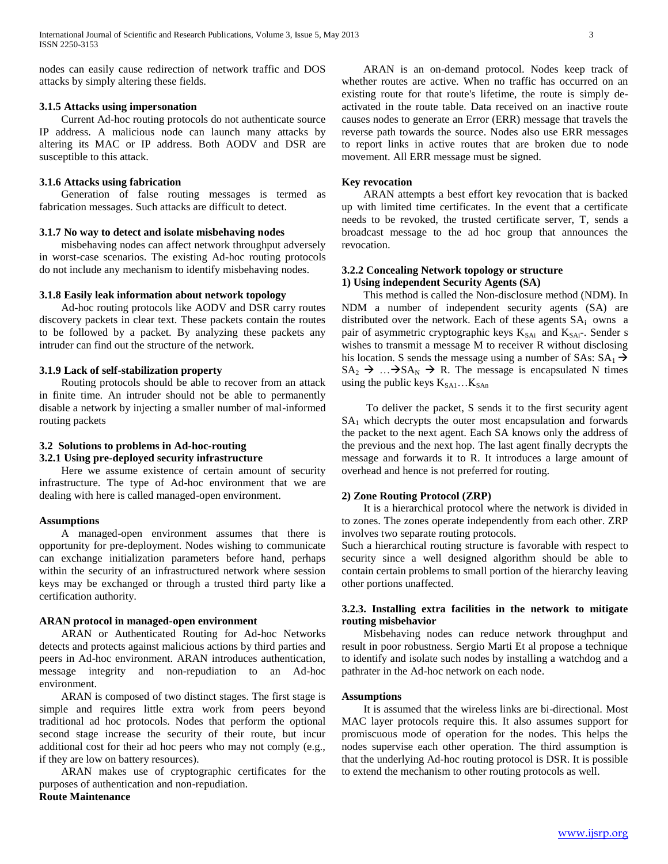nodes can easily cause redirection of network traffic and DOS attacks by simply altering these fields.

# **3.1.5 Attacks using impersonation**

 Current Ad-hoc routing protocols do not authenticate source IP address. A malicious node can launch many attacks by altering its MAC or IP address. Both AODV and DSR are susceptible to this attack.

#### **3.1.6 Attacks using fabrication**

 Generation of false routing messages is termed as fabrication messages. Such attacks are difficult to detect.

#### **3.1.7 No way to detect and isolate misbehaving nodes**

 misbehaving nodes can affect network throughput adversely in worst-case scenarios. The existing Ad-hoc routing protocols do not include any mechanism to identify misbehaving nodes.

#### **3.1.8 Easily leak information about network topology**

 Ad-hoc routing protocols like AODV and DSR carry routes discovery packets in clear text. These packets contain the routes to be followed by a packet. By analyzing these packets any intruder can find out the structure of the network.

## **3.1.9 Lack of self-stabilization property**

 Routing protocols should be able to recover from an attack in finite time. An intruder should not be able to permanently disable a network by injecting a smaller number of mal-informed routing packets

#### **3.2 Solutions to problems in Ad-hoc-routing**

# **3.2.1 Using pre-deployed security infrastructure**

 Here we assume existence of certain amount of security infrastructure. The type of Ad-hoc environment that we are dealing with here is called managed-open environment.

#### **Assumptions**

 A managed-open environment assumes that there is opportunity for pre-deployment. Nodes wishing to communicate can exchange initialization parameters before hand, perhaps within the security of an infrastructured network where session keys may be exchanged or through a trusted third party like a certification authority.

#### **ARAN protocol in managed-open environment**

 ARAN or Authenticated Routing for Ad-hoc Networks detects and protects against malicious actions by third parties and peers in Ad-hoc environment. ARAN introduces authentication, message integrity and non-repudiation to an Ad-hoc environment.

 ARAN is composed of two distinct stages. The first stage is simple and requires little extra work from peers beyond traditional ad hoc protocols. Nodes that perform the optional second stage increase the security of their route, but incur additional cost for their ad hoc peers who may not comply (e.g., if they are low on battery resources).

 ARAN makes use of cryptographic certificates for the purposes of authentication and non-repudiation.

# **Route Maintenance**

 ARAN is an on-demand protocol. Nodes keep track of whether routes are active. When no traffic has occurred on an existing route for that route's lifetime, the route is simply deactivated in the route table. Data received on an inactive route causes nodes to generate an Error (ERR) message that travels the reverse path towards the source. Nodes also use ERR messages to report links in active routes that are broken due to node movement. All ERR message must be signed.

#### **Key revocation**

 ARAN attempts a best effort key revocation that is backed up with limited time certificates. In the event that a certificate needs to be revoked, the trusted certificate server, T, sends a broadcast message to the ad hoc group that announces the revocation.

## **3.2.2 Concealing Network topology or structure 1) Using independent Security Agents (SA)**

 This method is called the Non-disclosure method (NDM). In NDM a number of independent security agents (SA) are distributed over the network. Each of these agents  $SA<sub>i</sub>$  owns a pair of asymmetric cryptographic keys  $K_{SAi}$  and  $K_{SAi}$ . Sender s wishes to transmit a message M to receiver R without disclosing his location. S sends the message using a number of SAs:  $SA_1 \rightarrow$  $SA_2 \rightarrow ... \rightarrow SA_N \rightarrow R$ . The message is encapsulated N times using the public keys  $K_{SAI}$ ... $K_{SAn}$ 

 To deliver the packet, S sends it to the first security agent  $SA<sub>1</sub>$  which decrypts the outer most encapsulation and forwards the packet to the next agent. Each SA knows only the address of the previous and the next hop. The last agent finally decrypts the message and forwards it to R. It introduces a large amount of overhead and hence is not preferred for routing.

#### **2) Zone Routing Protocol (ZRP)**

 It is a hierarchical protocol where the network is divided in to zones. The zones operate independently from each other. ZRP involves two separate routing protocols.

Such a hierarchical routing structure is favorable with respect to security since a well designed algorithm should be able to contain certain problems to small portion of the hierarchy leaving other portions unaffected.

# **3.2.3. Installing extra facilities in the network to mitigate routing misbehavior**

 Misbehaving nodes can reduce network throughput and result in poor robustness. Sergio Marti Et al propose a technique to identify and isolate such nodes by installing a watchdog and a pathrater in the Ad-hoc network on each node.

#### **Assumptions**

 It is assumed that the wireless links are bi-directional. Most MAC layer protocols require this. It also assumes support for promiscuous mode of operation for the nodes. This helps the nodes supervise each other operation. The third assumption is that the underlying Ad-hoc routing protocol is DSR. It is possible to extend the mechanism to other routing protocols as well.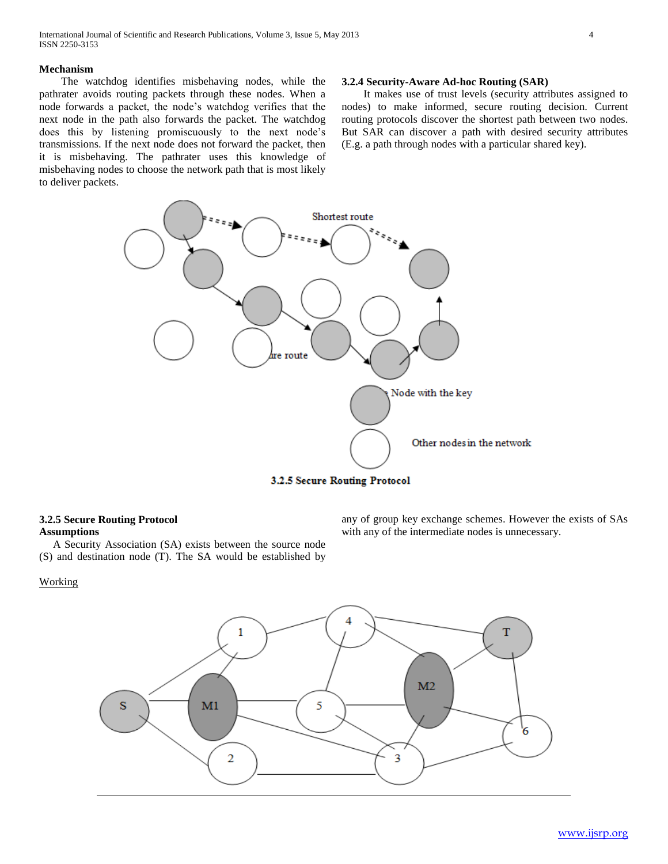#### **Mechanism**

 The watchdog identifies misbehaving nodes, while the pathrater avoids routing packets through these nodes. When a node forwards a packet, the node's watchdog verifies that the next node in the path also forwards the packet. The watchdog does this by listening promiscuously to the next node's transmissions. If the next node does not forward the packet, then it is misbehaving. The pathrater uses this knowledge of misbehaving nodes to choose the network path that is most likely to deliver packets.

#### **3.2.4 Security-Aware Ad-hoc Routing (SAR)**

 It makes use of trust levels (security attributes assigned to nodes) to make informed, secure routing decision. Current routing protocols discover the shortest path between two nodes. But SAR can discover a path with desired security attributes (E.g. a path through nodes with a particular shared key).



3.2.5 Secure Routing Protocol

# **3.2.5 Secure Routing Protocol Assumptions**

 A Security Association (SA) exists between the source node (S) and destination node (T). The SA would be established by

any of group key exchange schemes. However the exists of SAs with any of the intermediate nodes is unnecessary.

# Working

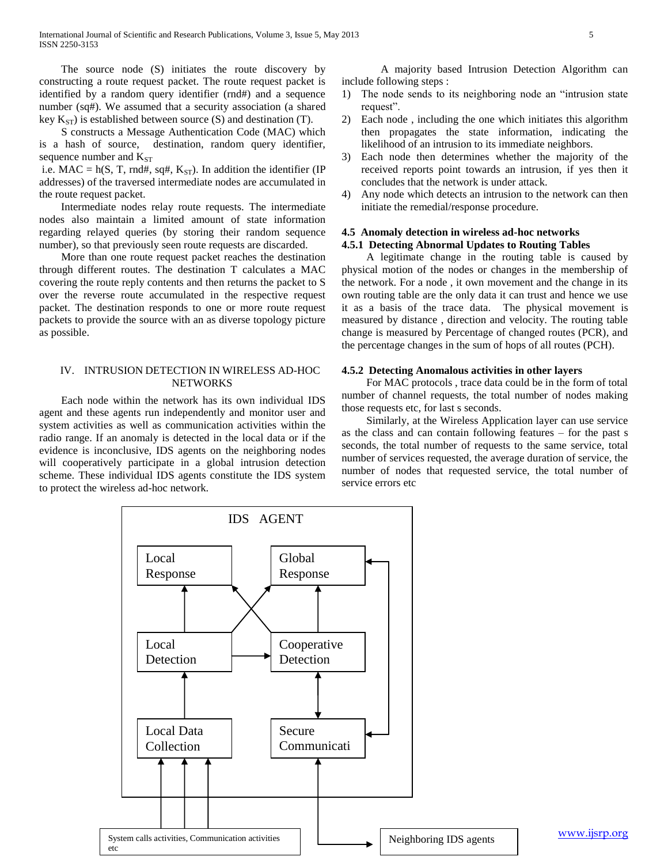The source node (S) initiates the route discovery by constructing a route request packet. The route request packet is identified by a random query identifier (rnd#) and a sequence number (sq#). We assumed that a security association (a shared key  $K_{ST}$ ) is established between source (S) and destination (T).

 S constructs a Message Authentication Code (MAC) which is a hash of source, destination, random query identifier, sequence number and  $K<sub>ST</sub>$ 

i.e. MAC = h(S, T, rnd#, sq#,  $K_{ST}$ ). In addition the identifier (IP addresses) of the traversed intermediate nodes are accumulated in the route request packet.

 Intermediate nodes relay route requests. The intermediate nodes also maintain a limited amount of state information regarding relayed queries (by storing their random sequence number), so that previously seen route requests are discarded.

 More than one route request packet reaches the destination through different routes. The destination T calculates a MAC covering the route reply contents and then returns the packet to S over the reverse route accumulated in the respective request packet. The destination responds to one or more route request packets to provide the source with an as diverse topology picture as possible.

#### IV. INTRUSION DETECTION IN WIRELESS AD-HOC NETWORKS

 Each node within the network has its own individual IDS agent and these agents run independently and monitor user and system activities as well as communication activities within the radio range. If an anomaly is detected in the local data or if the evidence is inconclusive, IDS agents on the neighboring nodes will cooperatively participate in a global intrusion detection scheme. These individual IDS agents constitute the IDS system to protect the wireless ad-hoc network.

A majority based Intrusion Detection Algorithm can include following steps :

- 1) The node sends to its neighboring node an "intrusion state request".
- 2) Each node , including the one which initiates this algorithm then propagates the state information, indicating the likelihood of an intrusion to its immediate neighbors.
- 3) Each node then determines whether the majority of the received reports point towards an intrusion, if yes then it concludes that the network is under attack.
- 4) Any node which detects an intrusion to the network can then initiate the remedial/response procedure.

# **4.5 Anomaly detection in wireless ad-hoc networks**

# **4.5.1 Detecting Abnormal Updates to Routing Tables**

 A legitimate change in the routing table is caused by physical motion of the nodes or changes in the membership of the network. For a node , it own movement and the change in its own routing table are the only data it can trust and hence we use it as a basis of the trace data. The physical movement is measured by distance , direction and velocity. The routing table change is measured by Percentage of changed routes (PCR), and the percentage changes in the sum of hops of all routes (PCH).

### **4.5.2 Detecting Anomalous activities in other layers**

 For MAC protocols , trace data could be in the form of total number of channel requests, the total number of nodes making those requests etc, for last s seconds.

 Similarly, at the Wireless Application layer can use service as the class and can contain following features – for the past s seconds, the total number of requests to the same service, total number of services requested, the average duration of service, the number of nodes that requested service, the total number of service errors etc